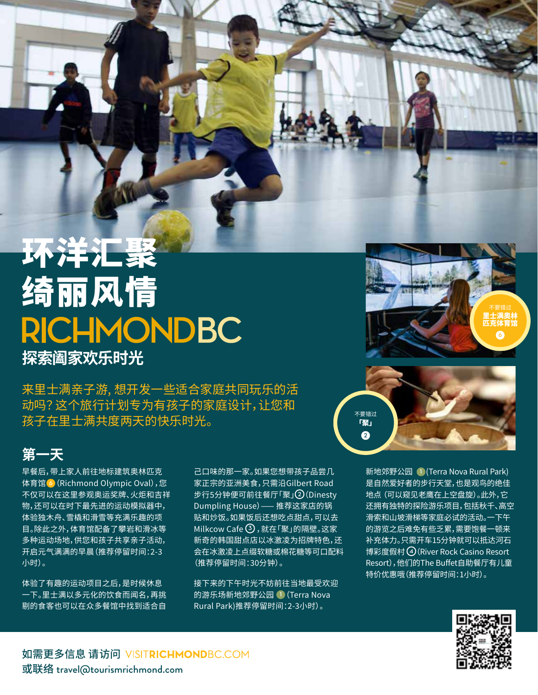## 环洋汇聚 绮丽风情 **RICHMONDBC 探索阖家欢乐时光**

来里士满亲子游, 想开发一些适合家庭共同玩乐的活 动吗? 这个旅行计划专为有孩子的家庭设计,让您和 孩子在里士满共度两天的快乐时光。 不要错过

## **第一天**

早餐后,带上家人前往地标建筑奥林匹克 体育馆 **6**(Richmond Olympic Oval),您 不仅可以在这里参观奥运奖牌、火炬和吉祥 物,还可以在时下最先进的运动模拟器中, 体验独木舟、雪橇和滑雪等充满乐趣的项 目。除此之外,体育馆配备了攀岩和滑冰等 多种运动场地,供您和孩子共享亲子活动, 开启元气满满的早晨(推荐停留时间:2-3 小时)。

体验了有趣的运动项目之后,是时候休息 一下。里士满以多元化的饮食而闻名,再挑 剔的食客也可以在众多餐馆中找到适合自 己口味的那一家。如果您想带孩子品尝几 家正宗的亚洲美食,只需沿Gilbert Road 步行5分钟便可前往餐厅「聚」**2**(Dinesty Dumpling House)—— 推荐这家店的锅 贴和炒饭。如果饭后还想吃点甜点,可以去 Milkcow Cafe **3** ,就在「聚」的隔壁。这家 新奇的韩国甜点店以冰激凌为招牌特色,还 会在冰激凌上点缀软糖或棉花糖等可口配料 (推荐停留时间:30分钟)。

接下来的下午时光不妨前往当地最受欢迎 的游乐场新地郊野公园 **1**(Terra Nova Rural Park)推荐停留时间:2-3小时)。





新地郊野公园 **1** (Terra Nova Rural Park) 是自然爱好者的步行天堂,也是观鸟的绝佳 地点 (可以窥见老鹰在上空盘旋)。此外,它 还拥有独特的探险游乐项目,包括秋千、高空 滑索和山坡滑梯等家庭必试的活动。一下午 的游览之后难免有些乏累,需要饱餐一顿来 补充体力。只需开车15分钟就可以抵达河石 博彩度假村 **4**(River Rock Casino Resort Resort),他们的The Buffet自助餐厅有儿童 特价优惠哦(推荐停留时间:1小时)。